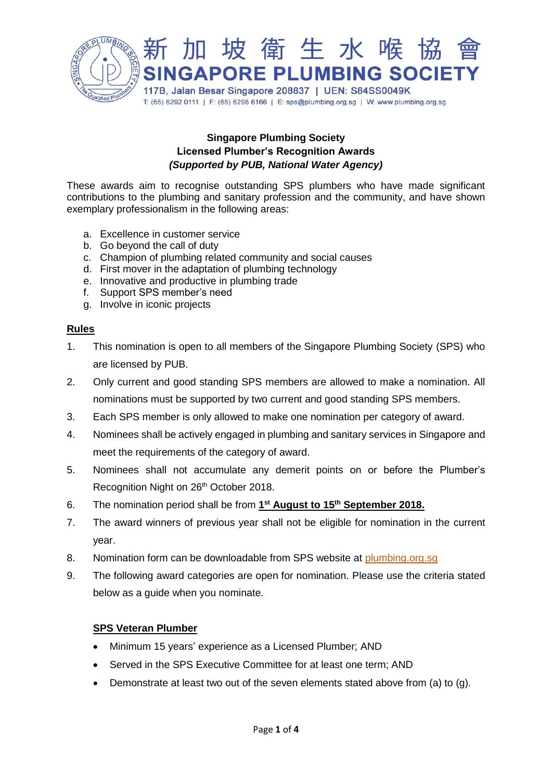

# **Singapore Plumbing Society Licensed Plumber's Recognition Awards** *(Supported by PUB, National Water Agency)*

These awards aim to recognise outstanding SPS plumbers who have made significant contributions to the plumbing and sanitary profession and the community, and have shown exemplary professionalism in the following areas:

- a. Excellence in customer service
- b. Go beyond the call of duty
- c. Champion of plumbing related community and social causes
- d. First mover in the adaptation of plumbing technology
- e. Innovative and productive in plumbing trade
- f. Support SPS member's need
- g. Involve in iconic projects

### **Rules**

- 1. This nomination is open to all members of the Singapore Plumbing Society (SPS) who are licensed by PUB.
- 2. Only current and good standing SPS members are allowed to make a nomination. All nominations must be supported by two current and good standing SPS members.
- 3. Each SPS member is only allowed to make one nomination per category of award.
- 4. Nominees shall be actively engaged in plumbing and sanitary services in Singapore and meet the requirements of the category of award.
- 5. Nominees shall not accumulate any demerit points on or before the Plumber's Recognition Night on 26<sup>th</sup> October 2018.
- 6. The nomination period shall be from **1 st August to 15th September 2018.**
- 7. The award winners of previous year shall not be eligible for nomination in the current year.
- 8. Nomination form can be downloadable from SPS website at plumbing.org.sg
- 9. The following award categories are open for nomination. Please use the criteria stated below as a guide when you nominate.

## **SPS Veteran Plumber**

- Minimum 15 years' experience as a Licensed Plumber; AND
- Served in the SPS Executive Committee for at least one term; AND
- Demonstrate at least two out of the seven elements stated above from (a) to (g).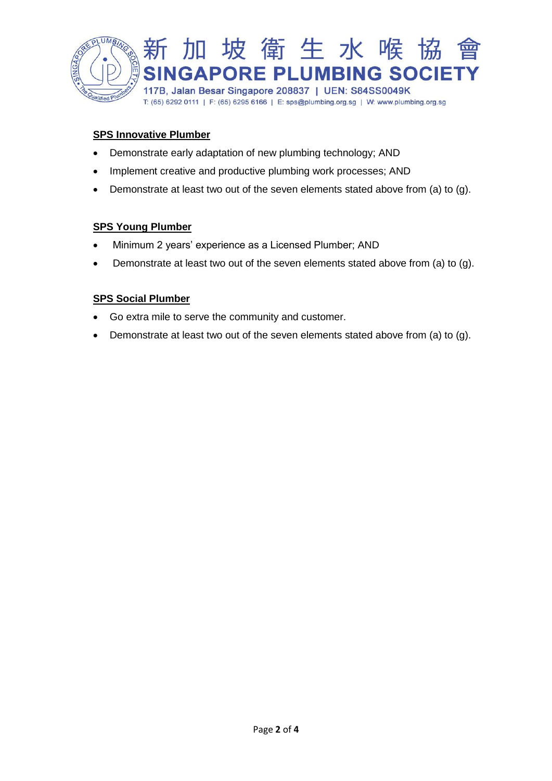

# **SPS Innovative Plumber**

- Demonstrate early adaptation of new plumbing technology; AND
- Implement creative and productive plumbing work processes; AND
- Demonstrate at least two out of the seven elements stated above from (a) to (g).

## **SPS Young Plumber**

- Minimum 2 years' experience as a Licensed Plumber; AND
- Demonstrate at least two out of the seven elements stated above from (a) to (g).

### **SPS Social Plumber**

- Go extra mile to serve the community and customer.
- Demonstrate at least two out of the seven elements stated above from (a) to (g).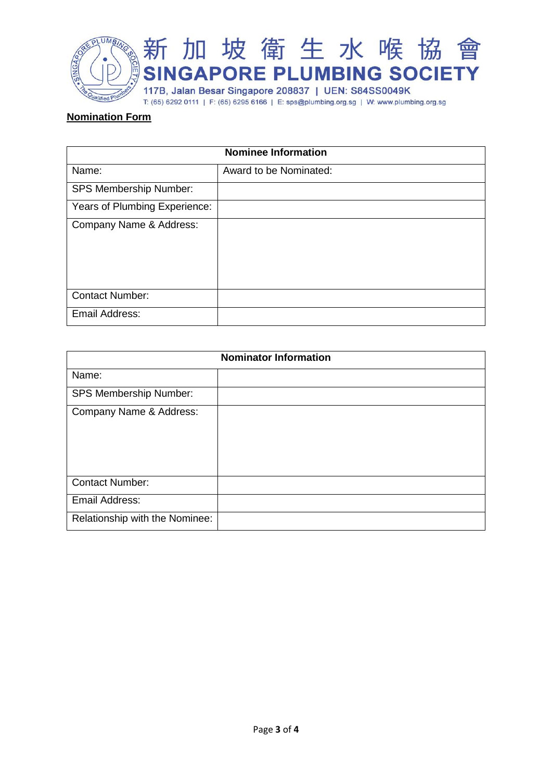

### **Nomination Form**

| <b>Nominee Information</b>    |                        |
|-------------------------------|------------------------|
| Name:                         | Award to be Nominated: |
| <b>SPS Membership Number:</b> |                        |
| Years of Plumbing Experience: |                        |
| Company Name & Address:       |                        |
| <b>Contact Number:</b>        |                        |
| Email Address:                |                        |

| <b>Nominator Information</b>   |  |
|--------------------------------|--|
| Name:                          |  |
| <b>SPS Membership Number:</b>  |  |
| Company Name & Address:        |  |
| <b>Contact Number:</b>         |  |
| Email Address:                 |  |
| Relationship with the Nominee: |  |